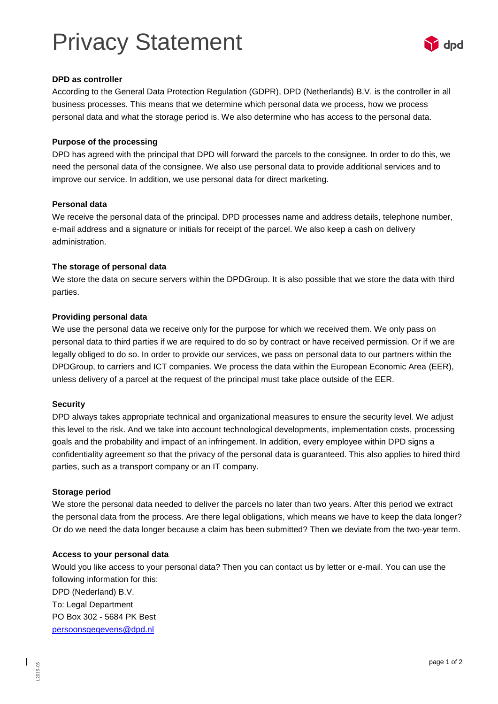# Privacy Statement



# **DPD as controller**

According to the General Data Protection Regulation (GDPR), DPD (Netherlands) B.V. is the controller in all business processes. This means that we determine which personal data we process, how we process personal data and what the storage period is. We also determine who has access to the personal data.

# **Purpose of the processing**

DPD has agreed with the principal that DPD will forward the parcels to the consignee. In order to do this, we need the personal data of the consignee. We also use personal data to provide additional services and to improve our service. In addition, we use personal data for direct marketing.

#### **Personal data**

We receive the personal data of the principal. DPD processes name and address details, telephone number, e-mail address and a signature or initials for receipt of the parcel. We also keep a cash on delivery administration.

# **The storage of personal data**

We store the data on secure servers within the DPDGroup. It is also possible that we store the data with third parties.

# **Providing personal data**

We use the personal data we receive only for the purpose for which we received them. We only pass on personal data to third parties if we are required to do so by contract or have received permission. Or if we are legally obliged to do so. In order to provide our services, we pass on personal data to our partners within the DPDGroup, to carriers and ICT companies. We process the data within the European Economic Area (EER), unless delivery of a parcel at the request of the principal must take place outside of the EER.

#### **Security**

DPD always takes appropriate technical and organizational measures to ensure the security level. We adjust this level to the risk. And we take into account technological developments, implementation costs, processing goals and the probability and impact of an infringement. In addition, every employee within DPD signs a confidentiality agreement so that the privacy of the personal data is guaranteed. This also applies to hired third parties, such as a transport company or an IT company.

#### **Storage period**

L2019-05

We store the personal data needed to deliver the parcels no later than two years. After this period we extract the personal data from the process. Are there legal obligations, which means we have to keep the data longer? Or do we need the data longer because a claim has been submitted? Then we deviate from the two-year term.

#### **Access to your personal data**

Would you like access to your personal data? Then you can contact us by letter or e-mail. You can use the following information for this: DPD (Nederland) B.V. To: Legal Department PO Box 302 - 5684 PK Best [persoonsgegevens@dpd.nl](mailto:persoonsgegevens@dpd.nl)